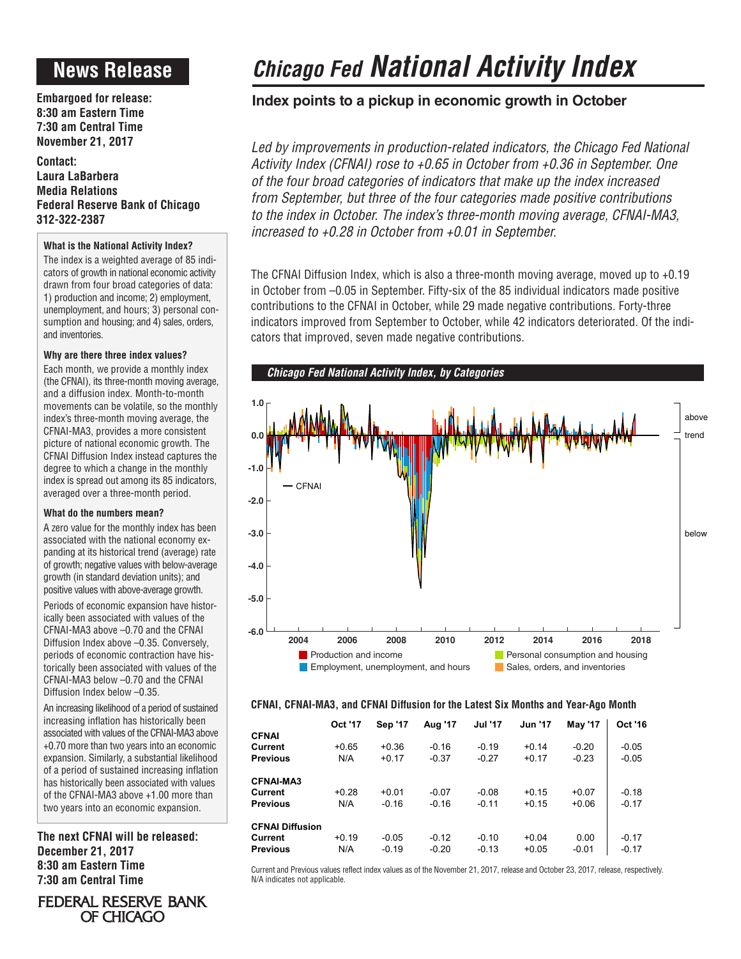## **News Release**

**Embargoed for release: 8:30 am Eastern Time 7:30 am Central Time November 21, 2017**

**Contact: Laura LaBarbera Media Relations Federal Reserve Bank of Chicago 312-322-2387**

### **What is the National Activity Index?**

The index is a weighted average of 85 indicators of growth in national economic activity drawn from four broad categories of data: 1) production and income; 2) employment, unemployment, and hours; 3) personal consumption and housing; and 4) sales, orders, and inventories.

### **Why are there three index values?**

Each month, we provide a monthly index (the CFNAI), its three-month moving average, and a diffusion index. Month-to-month movements can be volatile, so the monthly index's three-month moving average, the CFNAI-MA3, provides a more consistent picture of national economic growth. The CFNAI Diffusion Index instead captures the degree to which a change in the monthly index is spread out among its 85 indicators, averaged over a three-month period.

### **What do the numbers mean?**

A zero value for the monthly index has been associated with the national economy expanding at its historical trend (average) rate of growth; negative values with below-average growth (in standard deviation units); and positive values with above-average growth.

Periods of economic expansion have historically been associated with values of the CFNAI-MA3 above –0.70 and the CFNAI Diffusion Index above –0.35. Conversely, periods of economic contraction have historically been associated with values of the CFNAI-MA3 below –0.70 and the CFNAI Diffusion Index below –0.35.

An increasing likelihood of a period of sustained increasing inflation has historically been associated with values of the CFNAI-MA3 above +0.70 more than two years into an economic expansion. Similarly, a substantial likelihood of a period of sustained increasing inflation has historically been associated with values of the CFNAI-MA3 above +1.00 more than two years into an economic expansion.

**The next CFNAI will be released: December 21, 2017 8:30 am Eastern Time 7:30 am Central Time**

**FEDERAL RESERVE BANK** OF CHICAGO

Current and Previous values reflect index values as of the November 21, 2017, release and October 23, 2017, release, respectively. N/A indicates not applicable.

# *Chicago Fed National Activity Index*

### **Index points to a pickup in economic growth in October**

Led by improvements in production-related indicators, the Chicago Fed National *Activity Index (CFNAI) rose to +0.65 in October from +0.36 in September. One of the four broad categories of indicators that make up the index increased from September, but three of the four categories made positive contributions to the index in October. The index's three-month moving average, CFNAI-MA3, increased to +0.28 in October from +0.01 in September.*

The CFNAI Diffusion Index, which is also a three-month moving average, moved up to +0.19 in October from –0.05 in September. Fifty-six of the 85 individual indicators made positive contributions to the CFNAI in October, while 29 made negative contributions. Forty-three indicators improved from September to October, while 42 indicators deteriorated. Of the indicators that improved, seven made negative contributions.



### **CFNAI, CFNAI-MA3, and CFNAI Diffusion for the Latest Six Months and Year-Ago Month**

|                        | Oct '17 | <b>Sep '17</b> | Aug '17 | <b>Jul '17</b> | <b>Jun '17</b> | <b>May '17</b> | Oct '16 |
|------------------------|---------|----------------|---------|----------------|----------------|----------------|---------|
| <b>CFNAI</b>           |         |                |         |                |                |                |         |
| Current                | $+0.65$ | $+0.36$        | $-0.16$ | $-0.19$        | $+0.14$        | $-0.20$        | $-0.05$ |
| <b>Previous</b>        | N/A     | $+0.17$        | $-0.37$ | $-0.27$        | $+0.17$        | $-0.23$        | $-0.05$ |
| <b>CFNAI-MA3</b>       |         |                |         |                |                |                |         |
| Current                | $+0.28$ | $+0.01$        | $-0.07$ | $-0.08$        | $+0.15$        | $+0.07$        | $-0.18$ |
| <b>Previous</b>        | N/A     | $-0.16$        | $-0.16$ | $-0.11$        | $+0.15$        | $+0.06$        | $-0.17$ |
| <b>CFNAI Diffusion</b> |         |                |         |                |                |                |         |
| Current                | $+0.19$ | $-0.05$        | $-0.12$ | $-0.10$        | $+0.04$        | 0.00           | $-0.17$ |
| <b>Previous</b>        | N/A     | $-0.19$        | $-0.20$ | $-0.13$        | $+0.05$        | $-0.01$        | $-0.17$ |